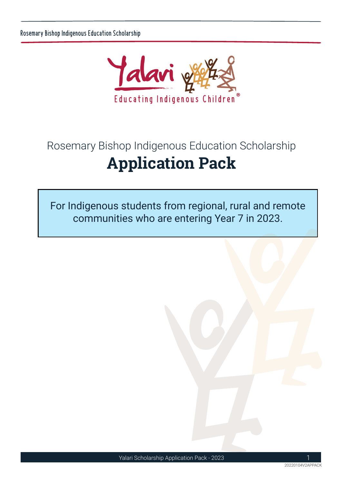

# Rosemary Bishop Indigenous Education Scholarship **Application Pack**

For Indigenous students from regional, rural and remote communities who are entering Year 7 in 2023.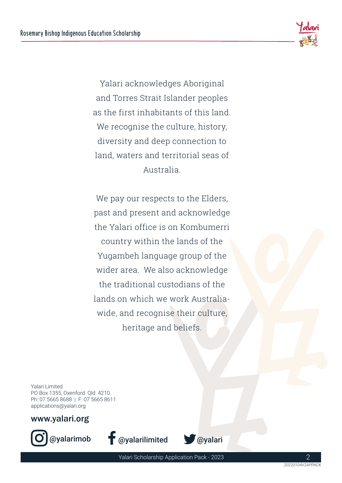

Yalari acknowledges Aboriginal and Torres Strait Islander peoples as the first inhabitants of this land. We recognise the culture, history, diversity and deep connection to land, waters and territorial seas of Australia.

We pay our respects to the Elders, past and present and acknowledge the Yalari office is on Kombumerri country within the lands of the Yugambeh language group of the wider area. We also acknowledge the traditional custodians of the lands on which we work Australiawide, and recognise their culture, heritage and beliefs.

Yalari Limited PO Box 1355, Oxenford Qld 4210 Ph: 07 5665 8688 | F: 07 5665 8611 applications@yalari.org

### www.yalari.org

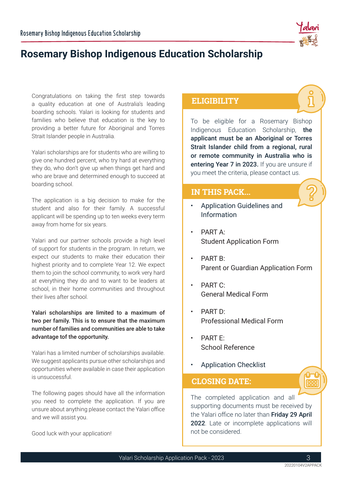

## **Rosemary Bishop Indigenous Education Scholarship**

Congratulations on taking the first step towards a quality education at one of Australia's leading boarding schools. Yalari is looking for students and families who believe that education is the key to providing a better future for Aboriginal and Torres Strait Islander people in Australia.

Yalari scholarships are for students who are willing to give one hundred percent, who try hard at everything they do, who don't give up when things get hard and who are brave and determined enough to succeed at boarding school.

The application is a big decision to make for the student and also for their family. A successful applicant will be spending up to ten weeks every term away from home for six years.

Yalari and our partner schools provide a high level of support for students in the program. In return, we expect our students to make their education their highest priority and to complete Year 12. We expect them to join the school community, to work very hard at everything they do and to want to be leaders at school, in their home communities and throughout their lives after school.

Yalari scholarships are limited to a maximum of two per family. This is to ensure that the maximum number of families and communities are able to take advantage tof the opportunity.

Yalari has a limited number of scholarships available. We suggest applicants pursue other scholarships and opportunities where available in case their application is unsuccessful.

The following pages should have all the information you need to complete the application. If you are unsure about anything please contact the Yalari office and we will assist you.

Good luck with your application!

### **ELIGIBILITY**

To be eligible for a Rosemary Bishop Indigenous Education Scholarship, the applicant must be an Aboriginal or Torres Strait Islander child from a regional, rural or remote community in Australia who is entering Year 7 in 2023. If you are unsure if you meet the criteria, please contact us.

### **IN THIS PACK...**

- Application Guidelines and Information
- PART A: Student Application Form
- PART B: Parent or Guardian Application Form
- PART C: General Medical Form
- PART D: Professional Medical Form
- PART F: School Reference
- Application Checklist

### **CLOSING DATE:**

The completed application and all supporting documents must be received by the Yalari office no later than Friday 29 April 2022. Late or incomplete applications will not be considered.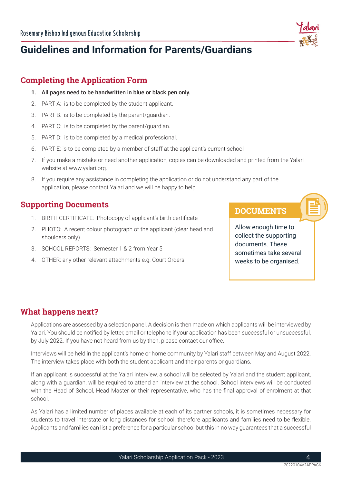

### **Completing the Application Form**

- 1. All pages need to be handwritten in blue or black pen only.
- 2. PART A: is to be completed by the student applicant.
- 3. PART B: is to be completed by the parent/guardian.
- 4. PART C: is to be completed by the parent/guardian.
- 5. PART D: is to be completed by a medical professional.
- 6. PART E: is to be completed by a member of staff at the applicant's current school
- 7. If you make a mistake or need another application, copies can be downloaded and printed from the Yalari website at www.yalari.org.
- 8. If you require any assistance in completing the application or do not understand any part of the application, please contact Yalari and we will be happy to help.

### **Supporting Documents**

- 1. BIRTH CERTIFICATE: Photocopy of applicant's birth certificate
- 2. PHOTO: A recent colour photograph of the applicant (clear head and shoulders only)
- 3. SCHOOL REPORTS: Semester 1 & 2 from Year 5
- 4. OTHER: any other relevant attachments e.g. Court Orders

### **DOCUMENTS**

Allow enough time to collect the supporting documents. These sometimes take several weeks to be organised.

### **What happens next?**

Applications are assessed by a selection panel. A decision is then made on which applicants will be interviewed by Yalari. You should be notified by letter, email or telephone if your application has been successful or unsuccessful, by July 2022. If you have not heard from us by then, please contact our office.

Interviews will be held in the applicant's home or home community by Yalari staff between May and August 2022. The interview takes place with both the student applicant and their parents or guardians.

If an applicant is successful at the Yalari interview, a school will be selected by Yalari and the student applicant, along with a guardian, will be required to attend an interview at the school. School interviews will be conducted with the Head of School, Head Master or their representative, who has the final approval of enrolment at that school.

As Yalari has a limited number of places available at each of its partner schools, it is sometimes necessary for students to travel interstate or long distances for school, therefore applicants and families need to be flexible. Applicants and families can list a preference for a particular school but this in no way guarantees that a successful

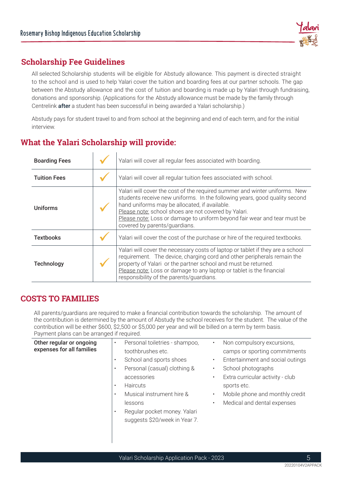

### **Scholarship Fee Guidelines**

All selected Scholarship students will be eligible for Abstudy allowance. This payment is directed straight to the school and is used to help Yalari cover the tuition and boarding fees at our partner schools. The gap between the Abstudy allowance and the cost of tuition and boarding is made up by Yalari through fundraising, donations and sponsorship. (Applications for the Abstudy allowance must be made by the family through Centrelink after a student has been successful in being awarded a Yalari scholarship.)

Abstudy pays for student travel to and from school at the beginning and end of each term, and for the initial interview.

| <b>Boarding Fees</b> | Yalari will cover all regular fees associated with boarding.                                                                                                                                                                                                                                                                                                                   |  |
|----------------------|--------------------------------------------------------------------------------------------------------------------------------------------------------------------------------------------------------------------------------------------------------------------------------------------------------------------------------------------------------------------------------|--|
| <b>Tuition Fees</b>  | Yalari will cover all regular tuition fees associated with school.                                                                                                                                                                                                                                                                                                             |  |
| Uniforms             | Yalari will cover the cost of the required summer and winter uniforms. New<br>students receive new uniforms. In the following years, good quality second<br>hand uniforms may be allocated, if available.<br>Please note: school shoes are not covered by Yalari.<br>Please note: Loss or damage to uniform beyond fair wear and tear must be<br>covered by parents/quardians. |  |
| <b>Textbooks</b>     | Yalari will cover the cost of the purchase or hire of the required textbooks.                                                                                                                                                                                                                                                                                                  |  |
| Technology           | Yalari will cover the necessary costs of laptop or tablet if they are a school<br>requirement. The device, charging cord and other peripherals remain the<br>property of Yalari or the partner school and must be returned.<br>Please note: Loss or damage to any laptop or tablet is the financial<br>responsibility of the parents/guardians.                                |  |

## **What the Yalari Scholarship will provide:**

### **COSTS TO FAMILIES**

All parents/guardians are required to make a financial contribution towards the scholarship. The amount of the contribution is determined by the amount of Abstudy the school receives for the student. The value of the contribution will be either \$600, \$2,500 or \$5,000 per year and will be billed on a term by term basis. Payment plans can be arranged if required.

| Other regular or ongoing<br>$\bullet$ |           | Personal toiletries - shampoo, |           | Non compulsory excursions,       |  |
|---------------------------------------|-----------|--------------------------------|-----------|----------------------------------|--|
| expenses for all families             |           | toothbrushes etc.              |           | camps or sporting commitments    |  |
|                                       | ٠         | School and sports shoes        | $\bullet$ | Entertainment and social outings |  |
|                                       |           | Personal (casual) clothing &   |           | School photographs               |  |
|                                       |           | accessories                    | $\bullet$ | Extra curricular activity - club |  |
|                                       | $\bullet$ | Haircuts                       |           | sports etc.                      |  |
|                                       | ٠         | Musical instrument hire &      | $\bullet$ | Mobile phone and monthly credit  |  |
|                                       |           | lessons                        | $\bullet$ | Medical and dental expenses      |  |
|                                       |           | Regular pocket money. Yalari   |           |                                  |  |
|                                       |           | suggests \$20/week in Year 7.  |           |                                  |  |
|                                       |           |                                |           |                                  |  |
|                                       |           |                                |           |                                  |  |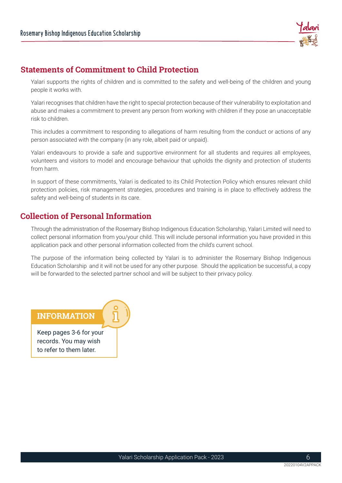

## **Statements of Commitment to Child Protection**

Yalari supports the rights of children and is committed to the safety and well-being of the children and young people it works with.

Yalari recognises that children have the right to special protection because of their vulnerability to exploitation and abuse and makes a commitment to prevent any person from working with children if they pose an unacceptable risk to children.

This includes a commitment to responding to allegations of harm resulting from the conduct or actions of any person associated with the company (in any role, albeit paid or unpaid).

Yalari endeavours to provide a safe and supportive environment for all students and requires all employees, volunteers and visitors to model and encourage behaviour that upholds the dignity and protection of students from harm.

In support of these commitments, Yalari is dedicated to its Child Protection Policy which ensures relevant child protection policies, risk management strategies, procedures and training is in place to effectively address the safety and well-being of students in its care.

### **Collection of Personal Information**

Through the administration of the Rosemary Bishop Indigenous Education Scholarship, Yalari Limited will need to collect personal information from you/your child. This will include personal information you have provided in this application pack and other personal information collected from the child's current school.

The purpose of the information being collected by Yalari is to administer the Rosemary Bishop Indigenous Education Scholarship and it will not be used for any other purpose. Should the application be successful, a copy will be forwarded to the selected partner school and will be subject to their privacy policy.

### **INFORMATION**

Keep pages 3-6 for your records. You may wish to refer to them later.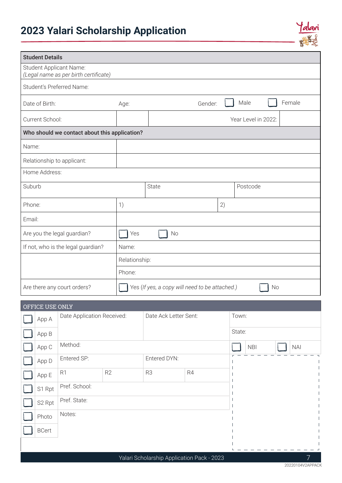# **2023 Yalari Scholarship Application**



|                                    | <b>Student Details</b> |                                                                         |                     |                                                |    |      |            |     |
|------------------------------------|------------------------|-------------------------------------------------------------------------|---------------------|------------------------------------------------|----|------|------------|-----|
|                                    |                        | <b>Student Applicant Name:</b><br>(Legal name as per birth certificate) |                     |                                                |    |      |            |     |
|                                    |                        | Student's Preferred Name:                                               |                     |                                                |    |      |            |     |
| Date of Birth:<br>Age:             |                        |                                                                         |                     | Gender:                                        |    | Male | Female     |     |
| Current School:                    |                        |                                                                         | Year Level in 2022: |                                                |    |      |            |     |
|                                    |                        | Who should we contact about this application?                           |                     |                                                |    |      |            |     |
| Name:                              |                        |                                                                         |                     |                                                |    |      |            |     |
|                                    |                        | Relationship to applicant:                                              |                     |                                                |    |      |            |     |
|                                    | Home Address:          |                                                                         |                     |                                                |    |      |            |     |
| Suburb                             |                        |                                                                         |                     | State                                          |    |      | Postcode   |     |
| 1)<br>Phone:                       |                        |                                                                         |                     |                                                |    | 2)   |            |     |
| Email:                             |                        |                                                                         |                     |                                                |    |      |            |     |
|                                    |                        | Are you the legal guardian?                                             | Yes                 | No                                             |    |      |            |     |
| If not, who is the legal guardian? |                        | Name:                                                                   |                     |                                                |    |      |            |     |
|                                    |                        | Relationship:                                                           |                     |                                                |    |      |            |     |
|                                    |                        |                                                                         | Phone:              |                                                |    |      |            |     |
|                                    |                        | Are there any court orders?                                             |                     | Yes (If yes, a copy will need to be attached.) |    |      |            | No  |
|                                    | OFFICE USE ONLY        |                                                                         |                     |                                                |    |      |            |     |
|                                    | App A                  | Date Application Received:                                              |                     | Date Ack Letter Sent:                          |    |      | Town:      |     |
|                                    | App B                  |                                                                         |                     |                                                |    |      | State:     |     |
|                                    | App C                  | Method:                                                                 |                     |                                                |    |      | <b>NBI</b> | NAI |
|                                    | App D                  | Entered SP:                                                             |                     | Entered DYN:                                   |    |      |            |     |
|                                    | App E                  | R1                                                                      | R <sub>2</sub>      | R <sub>3</sub>                                 | R4 |      |            |     |
|                                    | S1 Rpt                 | Pref. School:                                                           |                     |                                                |    |      |            |     |
|                                    | S2 Rpt                 | Pref. State:                                                            |                     |                                                |    |      |            |     |
|                                    | Photo                  | Notes:                                                                  |                     |                                                |    |      |            |     |

 $\overline{\phantom{a}}$ 

BCert

 $\overline{1}$ 

 $\overline{1}$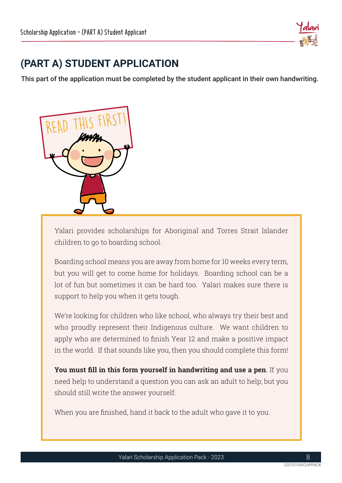

# **(PART A) STUDENT APPLICATION**

This part of the application must be completed by the student applicant in their own handwriting.



Yalari provides scholarships for Aboriginal and Torres Strait Islander children to go to boarding school.

Boarding school means you are away from home for 10 weeks every term, but you will get to come home for holidays. Boarding school can be a lot of fun but sometimes it can be hard too. Yalari makes sure there is support to help you when it gets tough.

We're looking for children who like school, who always try their best and who proudly represent their Indigenous culture. We want children to apply who are determined to finish Year 12 and make a positive impact in the world. If that sounds like you, then you should complete this form!

**You must fill in this form yourself in handwriting and use a pen**. If you need help to understand a question you can ask an adult to help; but you should still write the answer yourself.

When you are finished, hand it back to the adult who gave it to you.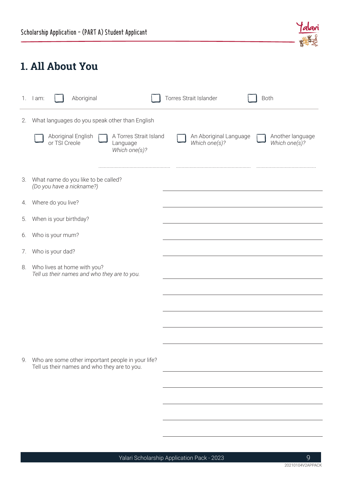# **1. All About You**

|    | Aboriginal<br>$1.$ $1$ am:                                                                           | Torres Strait Islander<br>Both                                               |
|----|------------------------------------------------------------------------------------------------------|------------------------------------------------------------------------------|
| 2. | What languages do you speak other than English                                                       |                                                                              |
|    | Aboriginal English<br>A Torres Strait Island<br>or TSI Creole<br>Language<br>Which one(s)?           | An Aboriginal Language<br>Another language<br>Which one(s)?<br>Which one(s)? |
|    | 3. What name do you like to be called?<br>(Do you have a nickname?)                                  |                                                                              |
| 4. | Where do you live?                                                                                   |                                                                              |
| 5. | When is your birthday?                                                                               |                                                                              |
| 6. | Who is your mum?                                                                                     |                                                                              |
| 7. | Who is your dad?                                                                                     |                                                                              |
| 8. | Who lives at home with you?<br>Tell us their names and who they are to you.                          |                                                                              |
|    |                                                                                                      |                                                                              |
|    |                                                                                                      |                                                                              |
|    |                                                                                                      |                                                                              |
|    |                                                                                                      |                                                                              |
|    | 9. Who are some other important people in your life?<br>Tell us their names and who they are to you. |                                                                              |
|    |                                                                                                      |                                                                              |
|    |                                                                                                      |                                                                              |
|    |                                                                                                      |                                                                              |

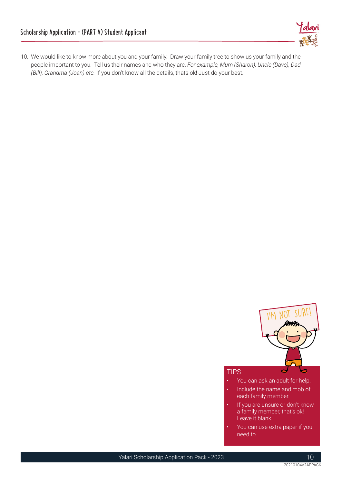

10. We would like to know more about you and your family. Draw your family tree to show us your family and the people important to you. Tell us their names and who they are. *For example, Mum (Sharon), Uncle (Dave), Dad (Bill), Grandma (Joan) etc.* If you don't know all the details, thats ok! Just do your best.



#### each family member. If you are unsure or don't know a family member, that's ok! Leave it blank.

You can use extra paper if you need to.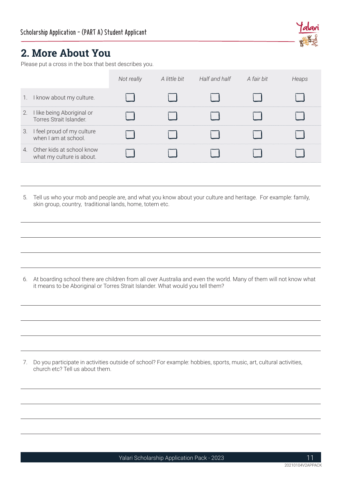

## **2. More About You**

Please put a cross in the box that best describes you.

|    |                                                        | Not really | A little bit | Half and half | A fair bit | Heaps |
|----|--------------------------------------------------------|------------|--------------|---------------|------------|-------|
| 1. | I know about my culture.                               |            |              |               |            |       |
| 2. | I like being Aboriginal or<br>Torres Strait Islander.  |            |              |               |            |       |
| 3. | I feel proud of my culture<br>when I am at school.     |            |              |               |            |       |
| 4. | Other kids at school know<br>what my culture is about. |            |              |               |            |       |

5. Tell us who your mob and people are, and what you know about your culture and heritage. For example: family, skin group, country, traditional lands, home, totem etc.

6. At boarding school there are children from all over Australia and even the world. Many of them will not know what it means to be Aboriginal or Torres Strait Islander. What would you tell them?

7. Do you participate in activities outside of school? For example: hobbies, sports, music, art, cultural activities, church etc? Tell us about them.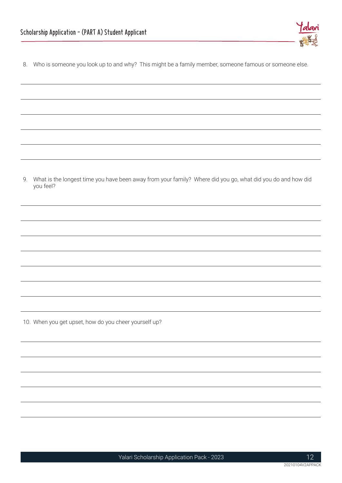

8. Who is someone you look up to and why? This might be a family member, someone famous or someone else.

9. What is the longest time you have been away from your family? Where did you go, what did you do and how did you feel?

10. When you get upset, how do you cheer yourself up?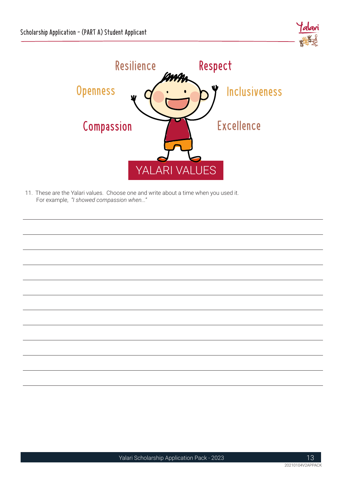



11. These are the Yalari values. Choose one and write about a time when you used it. For example, *"I showed compassion when..."*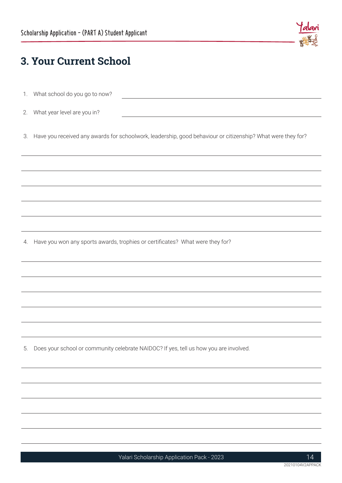

# **3. Your Current School**

|    | 1. What school do you go to now?                                                                            |
|----|-------------------------------------------------------------------------------------------------------------|
| 2. | What year level are you in?                                                                                 |
| 3. | Have you received any awards for schoolwork, leadership, good behaviour or citizenship? What were they for? |
|    |                                                                                                             |
|    |                                                                                                             |
|    |                                                                                                             |
|    |                                                                                                             |
| 4. | Have you won any sports awards, trophies or certificates? What were they for?                               |
|    |                                                                                                             |
|    |                                                                                                             |
|    |                                                                                                             |
|    |                                                                                                             |
| 5. | Does your school or community celebrate NAIDOC? If yes, tell us how you are involved.                       |
|    |                                                                                                             |
|    |                                                                                                             |
|    |                                                                                                             |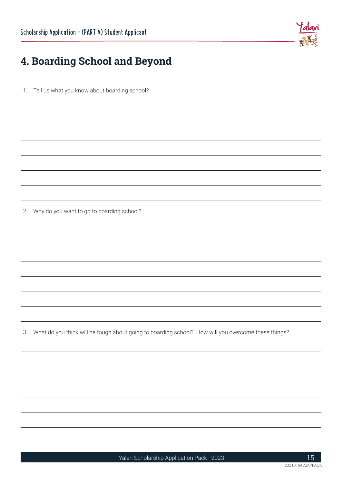

# **4. Boarding School and Beyond**

1. Tell us what you know about boarding school?

2. Why do you want to go to boarding school?

3. What do you think will be tough about going to boarding school? How will you overcome these things?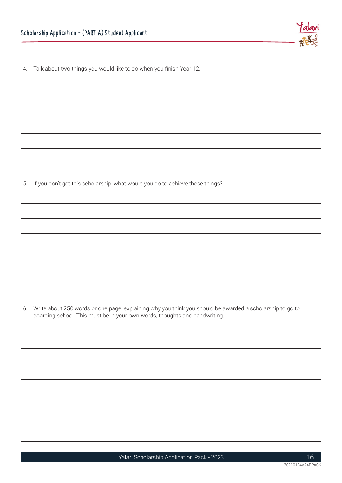4. Talk about two things you would like to do when you finish Year 12.

5. If you don't get this scholarship, what would you do to achieve these things?

6. Write about 250 words or one page, explaining why you think you should be awarded a scholarship to go to boarding school. This must be in your own words, thoughts and handwriting.

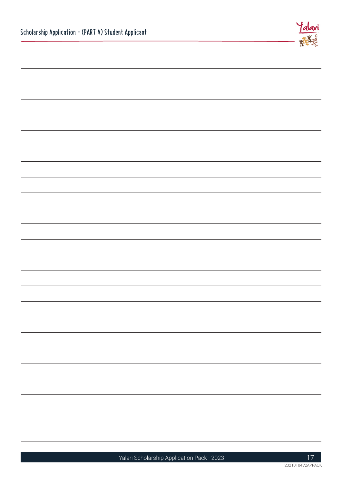

| $\sim$ $\sim$            |
|--------------------------|
| $\overline{\phantom{0}}$ |
|                          |
|                          |
| $\overline{\phantom{0}}$ |
|                          |
| $\overline{\phantom{a}}$ |
|                          |
|                          |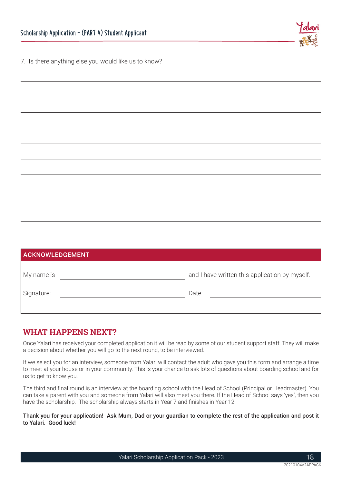7. Is there anything else you would like us to know?

| <b>ACKNOWLEDGEMENT</b> |                                                |
|------------------------|------------------------------------------------|
| My name is             | and I have written this application by myself. |
| Signature:             | Date:                                          |
|                        |                                                |

### **WHAT HAPPENS NEXT?**

Once Yalari has received your completed application it will be read by some of our student support staff. They will make a decision about whether you will go to the next round, to be interviewed.

If we select you for an interview, someone from Yalari will contact the adult who gave you this form and arrange a time to meet at your house or in your community. This is your chance to ask lots of questions about boarding school and for us to get to know you.

The third and final round is an interview at the boarding school with the Head of School (Principal or Headmaster). You can take a parent with you and someone from Yalari will also meet you there. If the Head of School says 'yes', then you have the scholarship. The scholarship always starts in Year 7 and finishes in Year 12.

#### Thank you for your application! Ask Mum, Dad or your guardian to complete the rest of the application and post it to Yalari. Good luck!

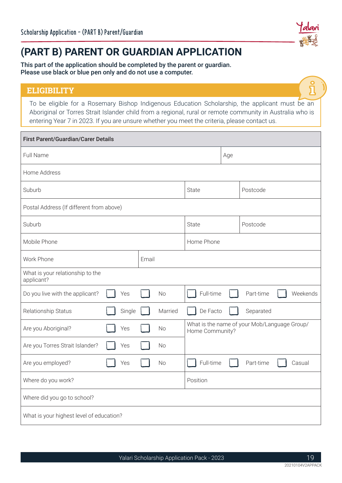

'n

# **(PART B) PARENT OR GUARDIAN APPLICATION**

This part of the application should be completed by the parent or guardian. Please use black or blue pen only and do not use a computer.

### **ELIGIBILITY**

To be eligible for a Rosemary Bishop Indigenous Education Scholarship, the applicant must be an Aboriginal or Torres Strait Islander child from a regional, rural or remote community in Australia who is entering Year 7 in 2023. If you are unsure whether you meet the criteria, please contact us.

| <b>First Parent/Guardian/Carer Details</b>     |              |                 |                                              |  |
|------------------------------------------------|--------------|-----------------|----------------------------------------------|--|
| Full Name                                      | Age          |                 |                                              |  |
| Home Address                                   |              |                 |                                              |  |
| Suburb                                         | State        | Postcode        |                                              |  |
| Postal Address (If different from above)       |              |                 |                                              |  |
| Suburb                                         | <b>State</b> | Postcode        |                                              |  |
| Mobile Phone                                   | Home Phone   |                 |                                              |  |
| Work Phone                                     | Email        |                 |                                              |  |
| What is your relationship to the<br>applicant? |              |                 |                                              |  |
| Do you live with the applicant?<br>Yes         | <b>No</b>    | Full-time       | Part-time<br>Weekends                        |  |
| Relationship Status<br>Single                  | Married      | De Facto        | Separated                                    |  |
| Are you Aboriginal?<br>Yes                     | <b>No</b>    | Home Community? | What is the name of your Mob/Language Group/ |  |
| Are you Torres Strait Islander?<br>Yes         | No           |                 |                                              |  |
| Are you employed?<br>Yes                       | <b>No</b>    | Full-time       | Part-time<br>Casual                          |  |
| Where do you work?                             |              | Position        |                                              |  |
| Where did you go to school?                    |              |                 |                                              |  |
| What is your highest level of education?       |              |                 |                                              |  |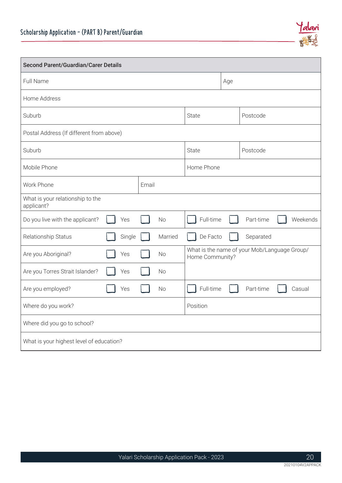

| <b>Second Parent/Guardian/Carer Details</b>    |            |                 |                                              |          |
|------------------------------------------------|------------|-----------------|----------------------------------------------|----------|
| Full Name                                      |            | Age             |                                              |          |
| Home Address                                   |            |                 |                                              |          |
| Suburb                                         | State      | Postcode        |                                              |          |
| Postal Address (If different from above)       |            |                 |                                              |          |
| Suburb                                         |            | <b>State</b>    | Postcode                                     |          |
| Mobile Phone                                   | Home Phone |                 |                                              |          |
| Work Phone                                     | Email      |                 |                                              |          |
| What is your relationship to the<br>applicant? |            |                 |                                              |          |
| Do you live with the applicant?<br>Yes         | <b>No</b>  | Full-time       | Part-time                                    | Weekends |
| Relationship Status<br>Single                  | Married    | De Facto        | Separated                                    |          |
| Are you Aboriginal?<br>Yes                     | <b>No</b>  | Home Community? | What is the name of your Mob/Language Group/ |          |
| Are you Torres Strait Islander?<br>Yes         | <b>No</b>  |                 |                                              |          |
| Are you employed?<br>Yes                       | <b>No</b>  | Full-time       | Part-time                                    | Casual   |
| Where do you work?                             |            | Position        |                                              |          |
| Where did you go to school?                    |            |                 |                                              |          |
| What is your highest level of education?       |            |                 |                                              |          |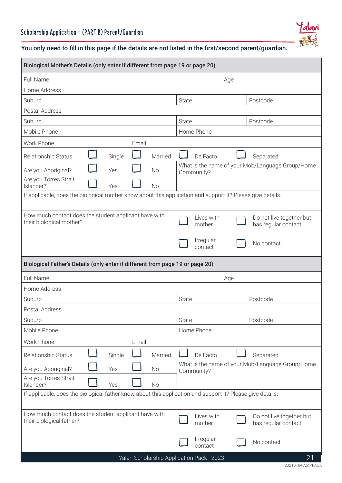

### You only need to fill in this page if the details are not listed in the first/second parent/guardian.

| Full Name<br>Age<br>Home Address<br>Suburb<br>State<br>Postcode<br>Postal Address<br>Suburb<br>State<br>Postcode<br>Mobile Phone<br>Home Phone<br>Work Phone<br>Email<br>Single<br>Married<br>De Facto<br>Separated<br>Relationship Status<br>What is the name of your Mob/Language Group/Home<br>Are you Aboriginal?<br>Yes<br>No<br>Community?<br>Are you Torres Strait<br>Yes<br>Islander?<br><b>No</b><br>If applicable, does the biological mother know about this application and support it? Please give details.<br>How much contact does the student applicant have with<br>Do not live together but<br>Lives with<br>mother<br>has regular contact<br>Irregular<br>No contact<br>contact<br>Biological Father's Details (only enter if different from page 19 or page 20)<br>Full Name<br>Age<br>Home Address |  |
|-------------------------------------------------------------------------------------------------------------------------------------------------------------------------------------------------------------------------------------------------------------------------------------------------------------------------------------------------------------------------------------------------------------------------------------------------------------------------------------------------------------------------------------------------------------------------------------------------------------------------------------------------------------------------------------------------------------------------------------------------------------------------------------------------------------------------|--|
|                                                                                                                                                                                                                                                                                                                                                                                                                                                                                                                                                                                                                                                                                                                                                                                                                         |  |
|                                                                                                                                                                                                                                                                                                                                                                                                                                                                                                                                                                                                                                                                                                                                                                                                                         |  |
|                                                                                                                                                                                                                                                                                                                                                                                                                                                                                                                                                                                                                                                                                                                                                                                                                         |  |
|                                                                                                                                                                                                                                                                                                                                                                                                                                                                                                                                                                                                                                                                                                                                                                                                                         |  |
|                                                                                                                                                                                                                                                                                                                                                                                                                                                                                                                                                                                                                                                                                                                                                                                                                         |  |
|                                                                                                                                                                                                                                                                                                                                                                                                                                                                                                                                                                                                                                                                                                                                                                                                                         |  |
|                                                                                                                                                                                                                                                                                                                                                                                                                                                                                                                                                                                                                                                                                                                                                                                                                         |  |
|                                                                                                                                                                                                                                                                                                                                                                                                                                                                                                                                                                                                                                                                                                                                                                                                                         |  |
|                                                                                                                                                                                                                                                                                                                                                                                                                                                                                                                                                                                                                                                                                                                                                                                                                         |  |
|                                                                                                                                                                                                                                                                                                                                                                                                                                                                                                                                                                                                                                                                                                                                                                                                                         |  |
| their biological mother?                                                                                                                                                                                                                                                                                                                                                                                                                                                                                                                                                                                                                                                                                                                                                                                                |  |
|                                                                                                                                                                                                                                                                                                                                                                                                                                                                                                                                                                                                                                                                                                                                                                                                                         |  |
|                                                                                                                                                                                                                                                                                                                                                                                                                                                                                                                                                                                                                                                                                                                                                                                                                         |  |
|                                                                                                                                                                                                                                                                                                                                                                                                                                                                                                                                                                                                                                                                                                                                                                                                                         |  |
|                                                                                                                                                                                                                                                                                                                                                                                                                                                                                                                                                                                                                                                                                                                                                                                                                         |  |
|                                                                                                                                                                                                                                                                                                                                                                                                                                                                                                                                                                                                                                                                                                                                                                                                                         |  |
| Suburb<br>State<br>Postcode                                                                                                                                                                                                                                                                                                                                                                                                                                                                                                                                                                                                                                                                                                                                                                                             |  |
| Postal Address                                                                                                                                                                                                                                                                                                                                                                                                                                                                                                                                                                                                                                                                                                                                                                                                          |  |
| Suburb<br>State<br>Postcode                                                                                                                                                                                                                                                                                                                                                                                                                                                                                                                                                                                                                                                                                                                                                                                             |  |
| Mobile Phone<br>Home Phone                                                                                                                                                                                                                                                                                                                                                                                                                                                                                                                                                                                                                                                                                                                                                                                              |  |
| Work Phone<br>Email                                                                                                                                                                                                                                                                                                                                                                                                                                                                                                                                                                                                                                                                                                                                                                                                     |  |
| Single<br>De Facto<br>Relationship Status<br>Married<br>Separated                                                                                                                                                                                                                                                                                                                                                                                                                                                                                                                                                                                                                                                                                                                                                       |  |
| What is the name of your Mob/Language Group/Home<br>Are you Aboriginal?<br>Yes<br><b>No</b>                                                                                                                                                                                                                                                                                                                                                                                                                                                                                                                                                                                                                                                                                                                             |  |
| Community?<br>Are you Torres Strait                                                                                                                                                                                                                                                                                                                                                                                                                                                                                                                                                                                                                                                                                                                                                                                     |  |
| Islander?<br>Yes<br><b>No</b><br>If applicable, does the biological father know about this application and support it? Please give details.                                                                                                                                                                                                                                                                                                                                                                                                                                                                                                                                                                                                                                                                             |  |
|                                                                                                                                                                                                                                                                                                                                                                                                                                                                                                                                                                                                                                                                                                                                                                                                                         |  |
| How much contact does the student applicant have with<br>Lives with<br>Do not live together but<br>their biological father?<br>mother<br>has regular contact                                                                                                                                                                                                                                                                                                                                                                                                                                                                                                                                                                                                                                                            |  |
|                                                                                                                                                                                                                                                                                                                                                                                                                                                                                                                                                                                                                                                                                                                                                                                                                         |  |
| Irregular<br>No contact<br>contact                                                                                                                                                                                                                                                                                                                                                                                                                                                                                                                                                                                                                                                                                                                                                                                      |  |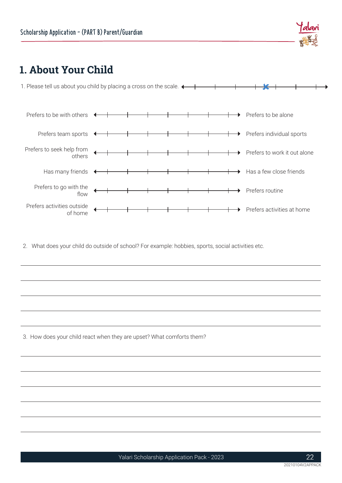

# **1. About Your Child**



2. What does your child do outside of school? For example: hobbies, sports, social activities etc.

3. How does your child react when they are upset? What comforts them?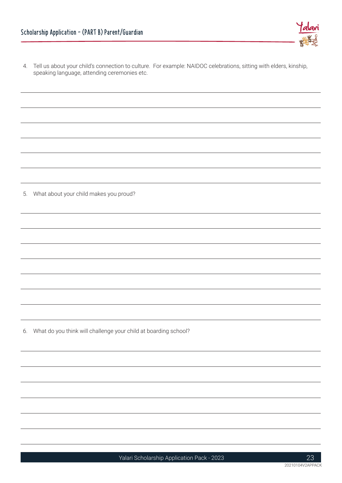4. Tell us about your child's connection to culture. For example: NAIDOC celebrations, sitting with elders, kinship, speaking language, attending ceremonies etc.

5. What about your child makes you proud?

6. What do you think will challenge your child at boarding school?

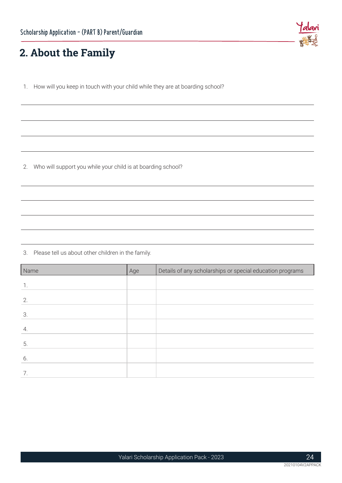# **2. About the Family**

1. How will you keep in touch with your child while they are at boarding school?

2. Who will support you while your child is at boarding school?

3. Please tell us about other children in the family.

| Name           | Age | Details of any scholarships or special education programs |
|----------------|-----|-----------------------------------------------------------|
| $\mathbb{1}$ . |     |                                                           |
|                |     |                                                           |
| 2.             |     |                                                           |
| 3.             |     |                                                           |
| 4.             |     |                                                           |
| 5.             |     |                                                           |
| 6.             |     |                                                           |
| 7.             |     |                                                           |

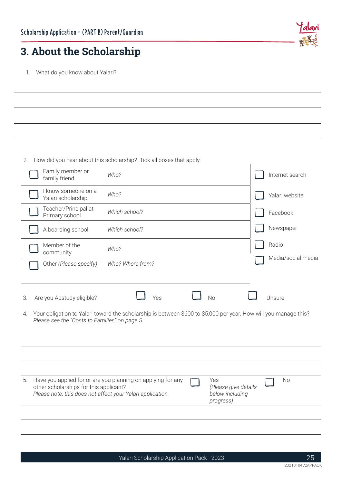

# **3. About the Scholarship**

1. What do you know about Yalari?

| 2. | How did you hear about this scholarship? Tick all boxes that apply.                                                                                               |                  |     |                              |                    |
|----|-------------------------------------------------------------------------------------------------------------------------------------------------------------------|------------------|-----|------------------------------|--------------------|
|    | Family member or<br>family friend                                                                                                                                 | Who?             |     |                              | Internet search    |
|    | I know someone on a<br>Yalari scholarship                                                                                                                         | Who?             |     |                              | Yalari website     |
|    | Teacher/Principal at<br>Primary school                                                                                                                            | Which school?    |     |                              | Facebook           |
|    | A boarding school                                                                                                                                                 | Which school?    |     |                              | Newspaper          |
|    | Member of the<br>community                                                                                                                                        | Who?             |     |                              | Radio              |
|    | Other (Please specify)                                                                                                                                            | Who? Where from? |     |                              | Media/social media |
|    |                                                                                                                                                                   |                  |     |                              |                    |
| 3. | Are you Abstudy eligible?                                                                                                                                         |                  | Yes | <b>No</b>                    | Unsure             |
| 4. | Your obligation to Yalari toward the scholarship is between \$600 to \$5,000 per year. How will you manage this?<br>Please see the "Costs to Families" on page 5. |                  |     |                              |                    |
|    |                                                                                                                                                                   |                  |     |                              |                    |
|    |                                                                                                                                                                   |                  |     |                              |                    |
|    |                                                                                                                                                                   |                  |     |                              |                    |
| 5. | Have you applied for or are you planning on applying for any<br>other scholarships for this applicant?                                                            |                  |     | Yes<br>(Please give details  | No                 |
|    | Please note, this does not affect your Yalari application.                                                                                                        |                  |     | below including<br>progress) |                    |
|    |                                                                                                                                                                   |                  |     |                              |                    |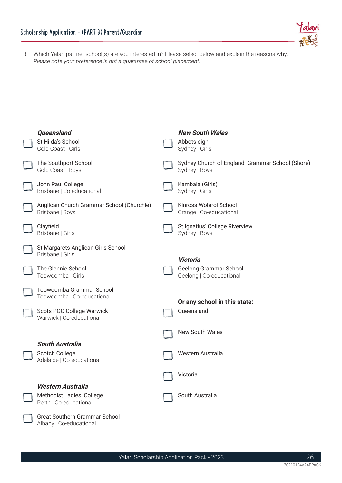

3. Which Yalari partner school(s) are you interested in? Please select below and explain the reasons why. *Please note your preference is not a guarantee of school placement.* 

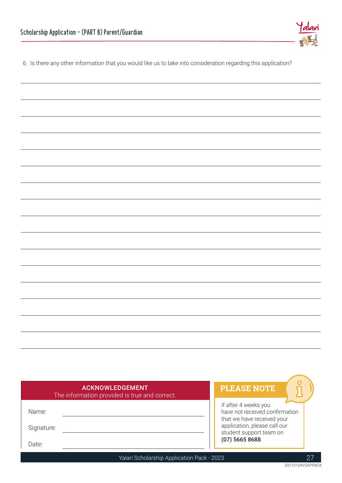6. Is there any other information that you would like us to take into consideration regarding this application?

| <b>ACKNOWLEDGEMENT</b><br>The information provided is true and correct. | <b>PLEASE NOTE</b>                                                                                                                                                   |
|-------------------------------------------------------------------------|----------------------------------------------------------------------------------------------------------------------------------------------------------------------|
| Name:<br>Signature:<br>Date:                                            | If after 4 weeks you<br>have not received confirmation<br>that we have received your<br>application, please call our<br>student support team on<br>$(07)$ 5665 8688. |

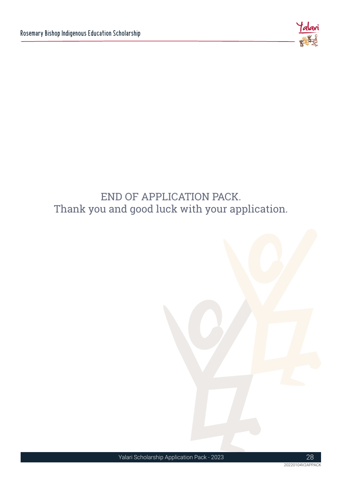

# END OF APPLICATION PACK. Thank you and good luck with your application.

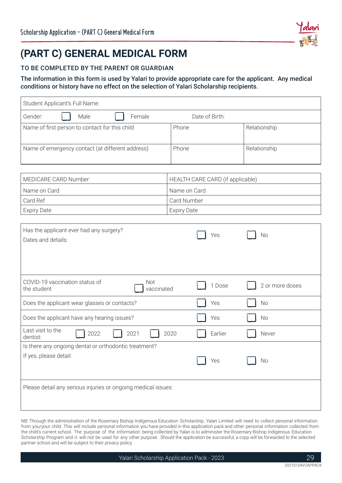

# **(PART C) GENERAL MEDICAL FORM**

### TO BE COMPLETED BY THE PARENT OR GUARDIAN

#### The information in this form is used by Yalari to provide appropriate care for the applicant. Any medical conditions or history have no effect on the selection of Yalari Scholarship recipients.

| Student Applicant's Full Name:                                          |                                  |              |  |  |  |
|-------------------------------------------------------------------------|----------------------------------|--------------|--|--|--|
| Female<br>Male<br>Gender:                                               | Date of Birth:                   |              |  |  |  |
| Name of first person to contact for this child<br>Phone<br>Relationship |                                  |              |  |  |  |
| Name of emergency contact (at different address)                        | Phone                            | Relationship |  |  |  |
|                                                                         |                                  |              |  |  |  |
| MEDICARE CARD Number:                                                   | HEALTH CARE CARD (if applicable) |              |  |  |  |
| Name on Card                                                            | Name on Card                     |              |  |  |  |
| Card Ref                                                                | Card Number                      |              |  |  |  |
| <b>Expiry Date</b>                                                      | <b>Expiry Date</b>               |              |  |  |  |

| Has the applicant ever had any surgery?<br>Dates and details:      | Yes     | No              |  |  |
|--------------------------------------------------------------------|---------|-----------------|--|--|
| COVID-19 vaccination status of<br>Not<br>vaccinated<br>the student | 1 Dose  | 2 or more doses |  |  |
| Does the applicant wear glasses or contacts?                       | Yes     | No              |  |  |
| Does the applicant have any hearing issues?                        | Yes     | No              |  |  |
| Last visit to the<br>2022<br>2021<br>2020<br>dentist:              | Earlier | Never           |  |  |
| Is there any ongoing dental or orthodontic treatment?              |         |                 |  |  |
| If yes, please detail:                                             | Yes     | No              |  |  |
| Please detail any serious injuries or ongoing medical issues:      |         |                 |  |  |

NB: Through the administration of the Rosemary Bishop Indigenous Education Scholarship, Yalari Limited will need to collect personal information from you/your child. This will include personal information you have provided in this application pack and other personal information collected from the child's current school. The purpose of the information being collected by Yalari is to administer the Rosemary Bishop Indigenous Education Scholarship Program and it will not be used for any other purpose. Should the application be successful, a copy will be forwarded to the selected partner school and will be subject to their privacy policy.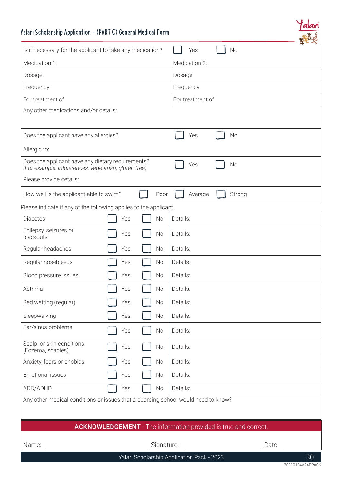## Yalari Scholarship Application - (PART C) General Medical Form

| Is it necessary for the applicant to take any medication?                                                 |            | Yes<br><b>No</b>                                                |                  |
|-----------------------------------------------------------------------------------------------------------|------------|-----------------------------------------------------------------|------------------|
| Medication 1:                                                                                             |            | Medication 2:                                                   |                  |
| Dosage                                                                                                    |            | Dosage                                                          |                  |
| Frequency                                                                                                 |            | Frequency                                                       |                  |
| For treatment of                                                                                          |            | For treatment of                                                |                  |
| Any other medications and/or details:                                                                     |            |                                                                 |                  |
|                                                                                                           |            |                                                                 |                  |
| Does the applicant have any allergies?                                                                    |            | Yes<br>No                                                       |                  |
| Allergic to:                                                                                              |            |                                                                 |                  |
| Does the applicant have any dietary requirements?<br>(For example: intolerences, vegetarian, gluten free) |            | Yes<br>No                                                       |                  |
| Please provide details:                                                                                   |            |                                                                 |                  |
| How well is the applicant able to swim?                                                                   | Poor       | Strong<br>Average                                               |                  |
| Please indicate if any of the following applies to the applicant.                                         |            |                                                                 |                  |
| <b>Diabetes</b>                                                                                           | No<br>Yes  | Details:                                                        |                  |
| Epilepsy, seizures or<br>blackouts                                                                        | Yes<br>No  | Details:                                                        |                  |
| Regular headaches                                                                                         | Yes<br>No  | Details:                                                        |                  |
| Regular nosebleeds                                                                                        | Yes<br>No  | Details:                                                        |                  |
| Blood pressure issues                                                                                     | Yes<br>No  | Details:                                                        |                  |
| Asthma                                                                                                    | No<br>Yes  | Details:                                                        |                  |
| Bed wetting (regular)                                                                                     | Yes<br>No  | Details:                                                        |                  |
| Sleepwalking                                                                                              | Yes<br>No  | Details:                                                        |                  |
| Ear/sinus problems                                                                                        | Yes<br>No  | Details:                                                        |                  |
| Scalp or skin conditions<br>(Eczema, scabies)                                                             | Yes<br>No  | Details:                                                        |                  |
| Anxiety, fears or phobias                                                                                 | Yes<br>No  | Details:                                                        |                  |
| <b>Emotional issues</b>                                                                                   | Yes<br>No  | Details:                                                        |                  |
| ADD/ADHD                                                                                                  | Yes<br>No  | Details:                                                        |                  |
| Any other medical conditions or issues that a boarding school would need to know?                         |            |                                                                 |                  |
|                                                                                                           |            |                                                                 |                  |
|                                                                                                           |            | ACKNOWLEDGEMENT - The information provided is true and correct. |                  |
| Name:                                                                                                     | Signature: |                                                                 | Date:            |
|                                                                                                           |            | Yalari Scholarship Application Pack - 2023                      | 30               |
|                                                                                                           |            |                                                                 | 20210104V2APPACK |

lalavi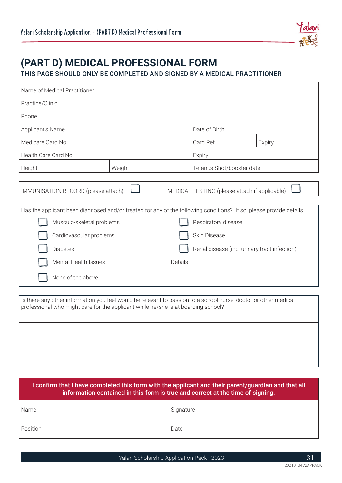

# **(PART D) MEDICAL PROFESSIONAL FORM**

### THIS PAGE SHOULD ONLY BE COMPLETED AND SIGNED BY A MEDICAL PRACTITIONER

| Name of Medical Practitioner                                                                                        |        |          |                                               |        |  |
|---------------------------------------------------------------------------------------------------------------------|--------|----------|-----------------------------------------------|--------|--|
| Practice/Clinic                                                                                                     |        |          |                                               |        |  |
| Phone                                                                                                               |        |          |                                               |        |  |
| Applicant's Name                                                                                                    |        |          | Date of Birth                                 |        |  |
| Medicare Card No.                                                                                                   |        |          | Card Ref                                      | Expiry |  |
| Health Care Card No.                                                                                                |        |          | Expiry                                        |        |  |
| Height                                                                                                              | Weight |          | Tetanus Shot/booster date                     |        |  |
|                                                                                                                     |        |          |                                               |        |  |
| IMMUNISATION RECORD (please attach)                                                                                 |        |          | MEDICAL TESTING (please attach if applicable) |        |  |
|                                                                                                                     |        |          |                                               |        |  |
| Has the applicant been diagnosed and/or treated for any of the following conditions? If so, please provide details. |        |          |                                               |        |  |
| Musculo-skeletal problems                                                                                           |        |          | Respiratory disease                           |        |  |
| Cardiovascular problems                                                                                             |        |          | Skin Disease                                  |        |  |
| <b>Diabetes</b>                                                                                                     |        |          | Renal disease (inc. urinary tract infection)  |        |  |
| Mental Health Issues                                                                                                |        | Details: |                                               |        |  |
| None of the above                                                                                                   |        |          |                                               |        |  |
| Is there any other information you feel would be relevant to pass on to a school purse, doctor or other medical     |        |          |                                               |        |  |

Is there any other information you feel would be relevant to pass on to a school nurse, doctor or other medical professional who might care for the applicant while he/she is at boarding school?

| I confirm that I have completed this form with the applicant and their parent/guardian and that all<br>information contained in this form is true and correct at the time of signing. |           |  |  |
|---------------------------------------------------------------------------------------------------------------------------------------------------------------------------------------|-----------|--|--|
| l Name                                                                                                                                                                                | Signature |  |  |
| l Position                                                                                                                                                                            | Date      |  |  |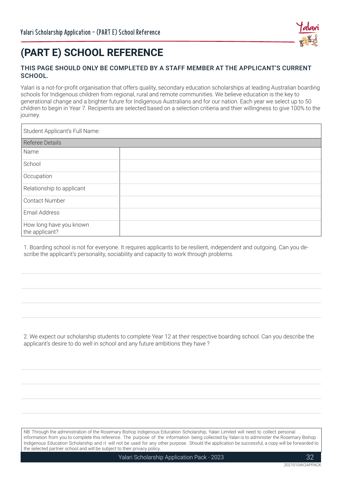

# **(PART E) SCHOOL REFERENCE**

#### THIS PAGE SHOULD ONLY BE COMPLETED BY A STAFF MEMBER AT THE APPLICANT'S CURRENT SCHOOL.

Yalari is a not-for-profit organisation that offers quality, secondary education scholarships at leading Australian boarding schools for Indigenous children from regional, rural and remote communities. We believe education is the key to generational change and a brighter future for Indigenous Australians and for our nation. Each year we select up to 50 children to begin in Year 7. Recipients are selected based on a selection critieria and thier willingness to give 100% to the journey.

| Student Applicant's Full Name:            |  |  |  |  |
|-------------------------------------------|--|--|--|--|
| Referee Details                           |  |  |  |  |
| Name                                      |  |  |  |  |
| School                                    |  |  |  |  |
| Occupation                                |  |  |  |  |
| Relationship to applicant                 |  |  |  |  |
| <b>Contact Number</b>                     |  |  |  |  |
| Email Address                             |  |  |  |  |
| How long have you known<br>the applicant? |  |  |  |  |

1. Boarding school is not for everyone. It requires applicants to be resilient, independent and outgoing. Can you describe the applicant's personality, sociability and capacity to work through problems.

2. We expect our scholarship students to complete Year 12 at their respective boarding school. Can you describe the applicant's desire to do well in school and any future ambitions they have ?

NB: Through the administration of the Rosemary Bishop Indigenous Education Scholarship, Yalari Limited will need to collect personal information from you to complete this reference. The purpose of the information being collected by Yalari is to administer the Rosemary Bishop Indigenous Education Scholarship and it will not be used for any other purpose. Should the application be successful, a copy will be forwarded to the selected partner school and will be subject to their privacy policy.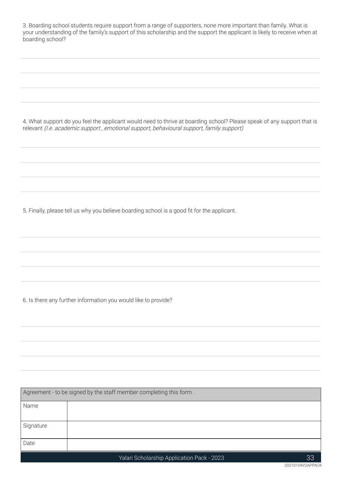| 3. Boarding school students require support from a range of supporters, none more important than family. What is          |
|---------------------------------------------------------------------------------------------------------------------------|
| your understanding of the family's support of this scholarship and the support the applicant is likely to receive when at |
| boarding school?                                                                                                          |

4. What support do you feel the applicant would need to thrive at boarding school? Please speak of any support that is relevant (I.e. academic support , emotional support, behavioural support, family support)

5. Finally, please tell us why you believe boarding school is a good fit for the applicant.

6. Is there any further information you would like to provide?

|           |                                                                    | $\cap$ |
|-----------|--------------------------------------------------------------------|--------|
| Date      |                                                                    |        |
| Signature |                                                                    |        |
| Name      |                                                                    |        |
|           | Agreement - to be signed by the staff member completing this form. |        |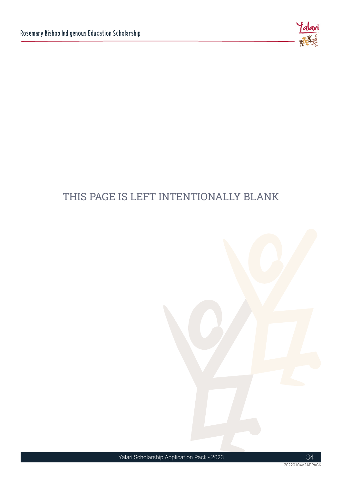

# THIS PAGE IS LEFT INTENTIONALLY BLANK



Yalari Scholarship Application Pack - 2023